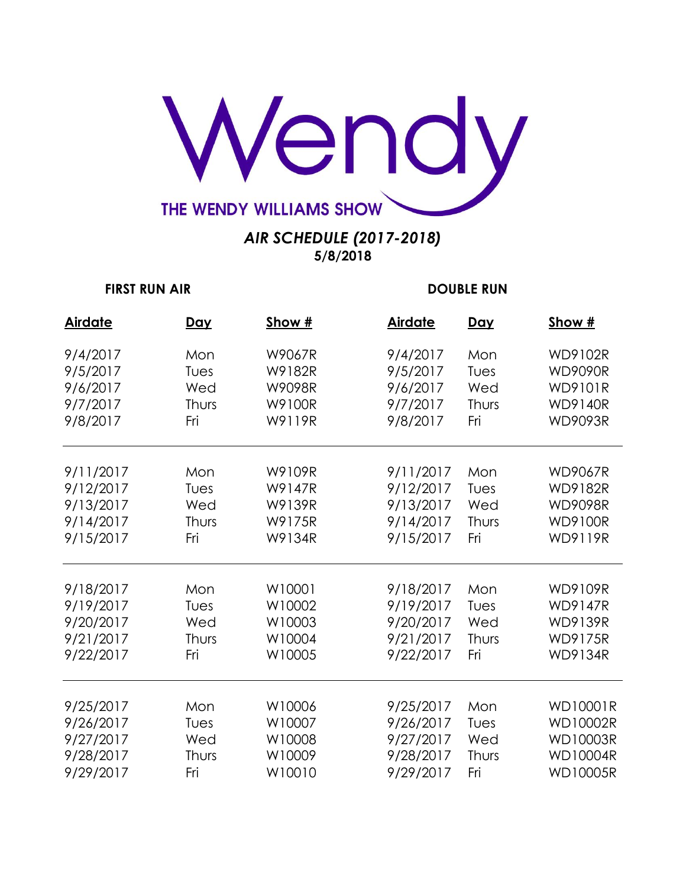

| <b>Airdate</b> | <u>Day</u> | Show # | <b>Airdate</b> | <u>Day</u> | Show #          |
|----------------|------------|--------|----------------|------------|-----------------|
| 9/4/2017       | Mon        | W9067R | 9/4/2017       | Mon        | <b>WD9102R</b>  |
| 9/5/2017       | Tues       | W9182R | 9/5/2017       | Tues       | <b>WD9090R</b>  |
| 9/6/2017       | Wed        | W9098R | 9/6/2017       | Wed        | <b>WD9101R</b>  |
| 9/7/2017       | Thurs      | W9100R | 9/7/2017       | Thurs      | <b>WD9140R</b>  |
| 9/8/2017       | Fri        | W9119R | 9/8/2017       | Fri        | <b>WD9093R</b>  |
| 9/11/2017      | Mon        | W9109R | 9/11/2017      | Mon        | <b>WD9067R</b>  |
| 9/12/2017      | Tues       | W9147R | 9/12/2017      | Tues       | <b>WD9182R</b>  |
| 9/13/2017      | Wed        | W9139R | 9/13/2017      | Wed        | <b>WD9098R</b>  |
| 9/14/2017      | Thurs      | W9175R | 9/14/2017      | Thurs      | <b>WD9100R</b>  |
| 9/15/2017      | Fri        | W9134R | 9/15/2017      | Fri        | <b>WD9119R</b>  |
|                |            |        |                |            |                 |
| 9/18/2017      | Mon        | W10001 | 9/18/2017      | Mon        | <b>WD9109R</b>  |
| 9/19/2017      | Tues       | W10002 | 9/19/2017      | Tues       | <b>WD9147R</b>  |
| 9/20/2017      | Wed        | W10003 | 9/20/2017      | Wed        | <b>WD9139R</b>  |
| 9/21/2017      | Thurs      | W10004 | 9/21/2017      | Thurs      | <b>WD9175R</b>  |
| 9/22/2017      | Fri        | W10005 | 9/22/2017      | Fri        | <b>WD9134R</b>  |
|                |            |        |                |            |                 |
| 9/25/2017      | Mon        | W10006 | 9/25/2017      | Mon        | <b>WD10001R</b> |
| 9/26/2017      | Tues       | W10007 | 9/26/2017      | Tues       | <b>WD10002R</b> |
| 9/27/2017      | Wed        | W10008 | 9/27/2017      | Wed        | <b>WD10003R</b> |
| 9/28/2017      | Thurs      | W10009 | 9/28/2017      | Thurs      | <b>WD10004R</b> |
| 9/29/2017      | Fri        | W10010 | 9/29/2017      | Fri        | <b>WD10005R</b> |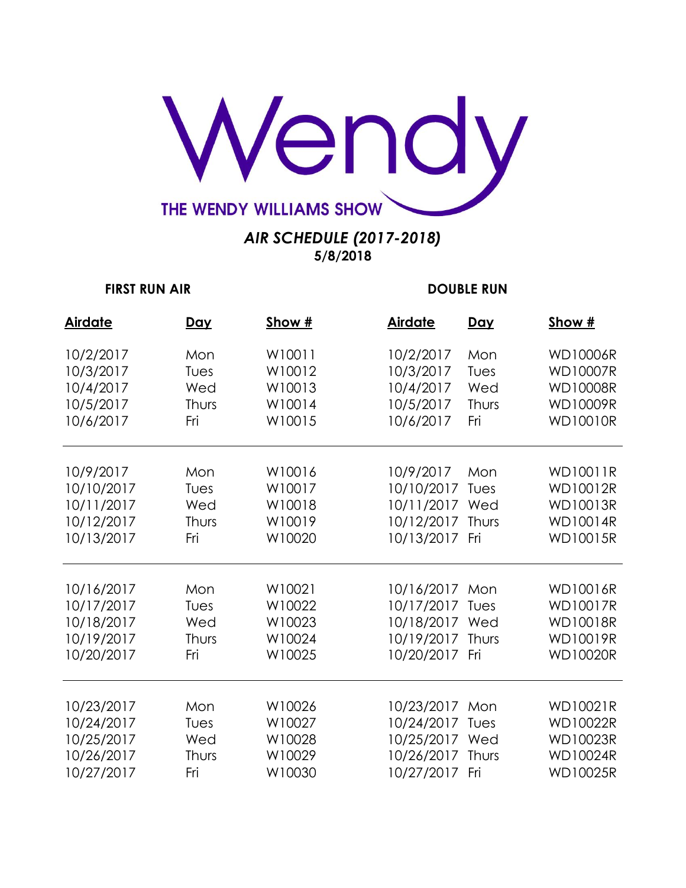

| <b>Airdate</b> | <u>Day</u> | Show # | <b>Airdate</b> | <u>Day</u> | Show #          |
|----------------|------------|--------|----------------|------------|-----------------|
| 10/2/2017      | Mon        | W10011 | 10/2/2017      | Mon        | <b>WD10006R</b> |
| 10/3/2017      | Tues       | W10012 | 10/3/2017      | Tues       | <b>WD10007R</b> |
| 10/4/2017      | Wed        | W10013 | 10/4/2017      | Wed        | <b>WD10008R</b> |
| 10/5/2017      | Thurs      | W10014 | 10/5/2017      | Thurs      | <b>WD10009R</b> |
| 10/6/2017      | Fri        | W10015 | 10/6/2017      | Fri        | <b>WD10010R</b> |
| 10/9/2017      | Mon        | W10016 | 10/9/2017      | Mon        | <b>WD10011R</b> |
| 10/10/2017     | Tues       | W10017 | 10/10/2017     | Tues       | WD10012R        |
| 10/11/2017     | Wed        | W10018 | 10/11/2017     | Wed        | <b>WD10013R</b> |
| 10/12/2017     | Thurs      | W10019 | 10/12/2017     | Thurs      | <b>WD10014R</b> |
| 10/13/2017     | Fri        | W10020 | 10/13/2017     | Fri        | <b>WD10015R</b> |
| 10/16/2017     | Mon        | W10021 | 10/16/2017     | Mon        | <b>WD10016R</b> |
| 10/17/2017     | Tues       | W10022 | 10/17/2017     | Tues       | <b>WD10017R</b> |
| 10/18/2017     | Wed        | W10023 | 10/18/2017     | Wed        | <b>WD10018R</b> |
| 10/19/2017     | Thurs      | W10024 | 10/19/2017     | Thurs      | <b>WD10019R</b> |
| 10/20/2017     | Fri        | W10025 | 10/20/2017     | Fri        | <b>WD10020R</b> |
| 10/23/2017     | Mon        | W10026 | 10/23/2017     | Mon        | <b>WD10021R</b> |
| 10/24/2017     | Tues       | W10027 | 10/24/2017     | Tues       | <b>WD10022R</b> |
| 10/25/2017     | Wed        | W10028 | 10/25/2017     | Wed        | <b>WD10023R</b> |
| 10/26/2017     | Thurs      | W10029 | 10/26/2017     | Thurs      | <b>WD10024R</b> |
| 10/27/2017     | Fri        | W10030 | 10/27/2017     | Fri        | <b>WD10025R</b> |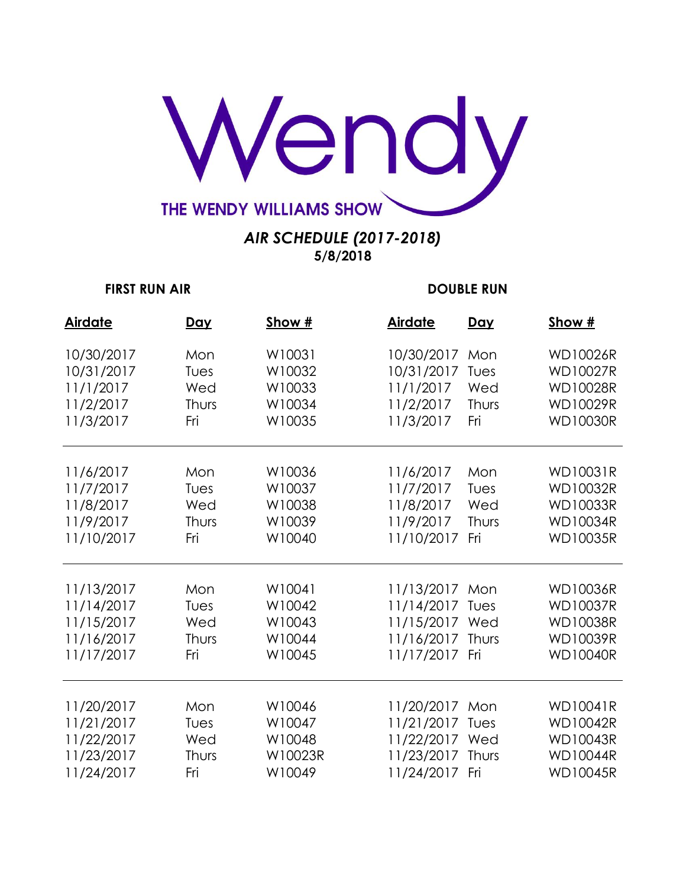

| <b>Airdate</b> | <u>Day</u> | Show #  | <b>Airdate</b> | <u>Day</u> | Show #          |
|----------------|------------|---------|----------------|------------|-----------------|
| 10/30/2017     | Mon        | W10031  | 10/30/2017     | Mon        | <b>WD10026R</b> |
| 10/31/2017     | Tues       | W10032  | 10/31/2017     | Tues       | <b>WD10027R</b> |
| 11/1/2017      | Wed        | W10033  | 11/1/2017      | Wed        | <b>WD10028R</b> |
| 11/2/2017      | Thurs      | W10034  | 11/2/2017      | Thurs      | <b>WD10029R</b> |
| 11/3/2017      | Fri        | W10035  | 11/3/2017      | Fri        | <b>WD10030R</b> |
| 11/6/2017      | Mon        | W10036  | 11/6/2017      | Mon        | <b>WD10031R</b> |
| 11/7/2017      | Tues       | W10037  | 11/7/2017      | Tues       | <b>WD10032R</b> |
| 11/8/2017      | Wed        | W10038  | 11/8/2017      | Wed        | <b>WD10033R</b> |
| 11/9/2017      | Thurs      | W10039  | 11/9/2017      | Thurs      | <b>WD10034R</b> |
| 11/10/2017     | Fri        | W10040  | 11/10/2017     | Fri        | <b>WD10035R</b> |
| 11/13/2017     | Mon        | W10041  | 11/13/2017     | Mon        | <b>WD10036R</b> |
| 11/14/2017     | Tues       | W10042  | 11/14/2017     | Tues       | <b>WD10037R</b> |
| 11/15/2017     | Wed        | W10043  | 11/15/2017     | Wed        | <b>WD10038R</b> |
| 11/16/2017     | Thurs      | W10044  | 11/16/2017     | Thurs      | <b>WD10039R</b> |
| 11/17/2017     | Fri        | W10045  | 11/17/2017     | Fri        | <b>WD10040R</b> |
| 11/20/2017     | Mon        | W10046  | 11/20/2017     | Mon        | <b>WD10041R</b> |
| 11/21/2017     | Tues       | W10047  | 11/21/2017     | Tues       | <b>WD10042R</b> |
| 11/22/2017     | Wed        | W10048  | 11/22/2017     | Wed        | <b>WD10043R</b> |
| 11/23/2017     | Thurs      | W10023R | 11/23/2017     | Thurs      | <b>WD10044R</b> |
| 11/24/2017     | Fri        | W10049  | 11/24/2017     | Fri        | <b>WD10045R</b> |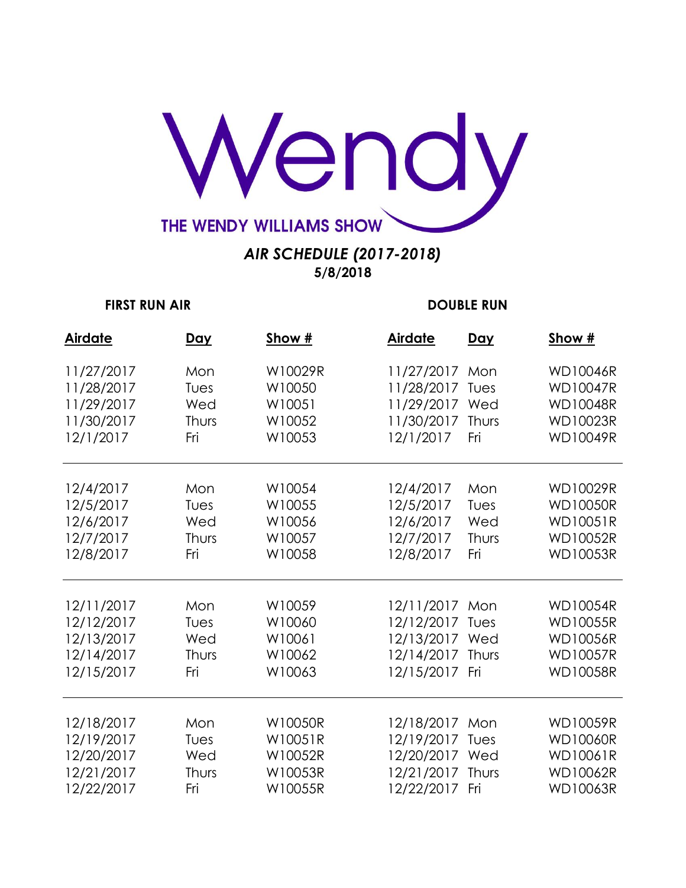

| <b>Airdate</b> | <u>Day</u> | Show #  | <b>Airdate</b> | <b>Day</b> | Show #          |
|----------------|------------|---------|----------------|------------|-----------------|
| 11/27/2017     | Mon        | W10029R | 11/27/2017     | Mon        | <b>WD10046R</b> |
| 11/28/2017     | Tues       | W10050  | 11/28/2017     | Tues       | <b>WD10047R</b> |
| 11/29/2017     | Wed        | W10051  | 11/29/2017     | Wed        | <b>WD10048R</b> |
| 11/30/2017     | Thurs      | W10052  | 11/30/2017     | Thurs      | <b>WD10023R</b> |
| 12/1/2017      | Fri        | W10053  | 12/1/2017      | Fri        | <b>WD10049R</b> |
| 12/4/2017      | Mon        | W10054  | 12/4/2017      | Mon        | <b>WD10029R</b> |
| 12/5/2017      | Tues       | W10055  | 12/5/2017      | Tues       | <b>WD10050R</b> |
| 12/6/2017      | Wed        | W10056  | 12/6/2017      | Wed        | <b>WD10051R</b> |
| 12/7/2017      | Thurs      | W10057  | 12/7/2017      | Thurs      | <b>WD10052R</b> |
| 12/8/2017      | Fri        | W10058  | 12/8/2017      | Fri        | <b>WD10053R</b> |
| 12/11/2017     | Mon        | W10059  | 12/11/2017     | Mon        | <b>WD10054R</b> |
| 12/12/2017     | Tues       | W10060  | 12/12/2017     | Tues       | <b>WD10055R</b> |
| 12/13/2017     | Wed        | W10061  | 12/13/2017     | Wed        | <b>WD10056R</b> |
| 12/14/2017     | Thurs      | W10062  | 12/14/2017     | Thurs      | <b>WD10057R</b> |
| 12/15/2017     | Fri        | W10063  | 12/15/2017     | Fri        | <b>WD10058R</b> |
| 12/18/2017     | Mon        | W10050R | 12/18/2017     | Mon        | <b>WD10059R</b> |
| 12/19/2017     | Tues       | W10051R | 12/19/2017     | Tues       | <b>WD10060R</b> |
| 12/20/2017     | Wed        | W10052R | 12/20/2017     | Wed        | <b>WD10061R</b> |
| 12/21/2017     | Thurs      | W10053R | 12/21/2017     | Thurs      | <b>WD10062R</b> |
| 12/22/2017     | Fri        | W10055R | 12/22/2017     | Fri        | <b>WD10063R</b> |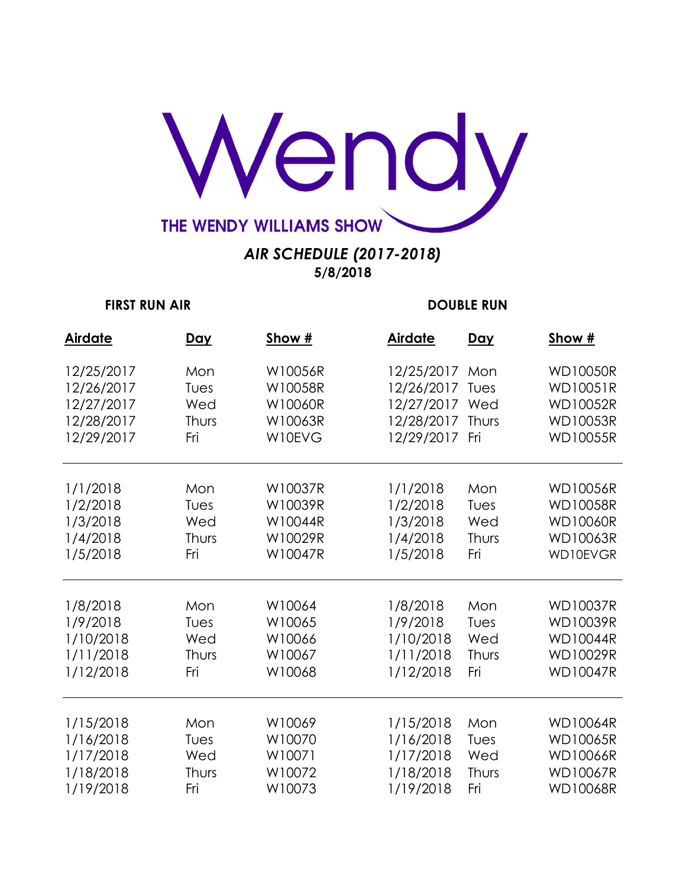

| <b>Airdate</b> | <u>Day</u> | Show #  | <b>Airdate</b> | <u>Day</u> | Show #          |
|----------------|------------|---------|----------------|------------|-----------------|
| 12/25/2017     | Mon        | W10056R | 12/25/2017     | Mon        | <b>WD10050R</b> |
| 12/26/2017     | Tues       | W10058R | 12/26/2017     | Tues       | <b>WD10051R</b> |
| 12/27/2017     | Wed        | W10060R | 12/27/2017     | Wed        | <b>WD10052R</b> |
| 12/28/2017     | Thurs      | W10063R | 12/28/2017     | Thurs      | <b>WD10053R</b> |
| 12/29/2017     | Fri        | W10EVG  | 12/29/2017     | Fri        | <b>WD10055R</b> |
| 1/1/2018       | Mon        | W10037R | 1/1/2018       | Mon        | <b>WD10056R</b> |
| 1/2/2018       | Tues       | W10039R | 1/2/2018       | Tues       | <b>WD10058R</b> |
| 1/3/2018       | Wed        | W10044R | 1/3/2018       | Wed        | <b>WD10060R</b> |
| 1/4/2018       | Thurs      | W10029R | 1/4/2018       | Thurs      | <b>WD10063R</b> |
| 1/5/2018       | Fri        | W10047R | 1/5/2018       | Fri        | WD10EVGR        |
| 1/8/2018       | Mon        | W10064  | 1/8/2018       | Mon        | <b>WD10037R</b> |
| 1/9/2018       | Tues       | W10065  | 1/9/2018       | Tues       | <b>WD10039R</b> |
| 1/10/2018      | Wed        | W10066  | 1/10/2018      | Wed        | <b>WD10044R</b> |
| 1/11/2018      | Thurs      | W10067  | 1/11/2018      | Thurs      | <b>WD10029R</b> |
| 1/12/2018      | Fri        | W10068  | 1/12/2018      | Fri        | <b>WD10047R</b> |
| 1/15/2018      | Mon        | W10069  | 1/15/2018      | Mon        | <b>WD10064R</b> |
| 1/16/2018      | Tues       | W10070  | 1/16/2018      | Tues       | <b>WD10065R</b> |
| 1/17/2018      | Wed        | W10071  | 1/17/2018      | Wed        | <b>WD10066R</b> |
| 1/18/2018      | Thurs      | W10072  | 1/18/2018      | Thurs      | <b>WD10067R</b> |
| 1/19/2018      | Fri        | W10073  | 1/19/2018      | Fri        | <b>WD10068R</b> |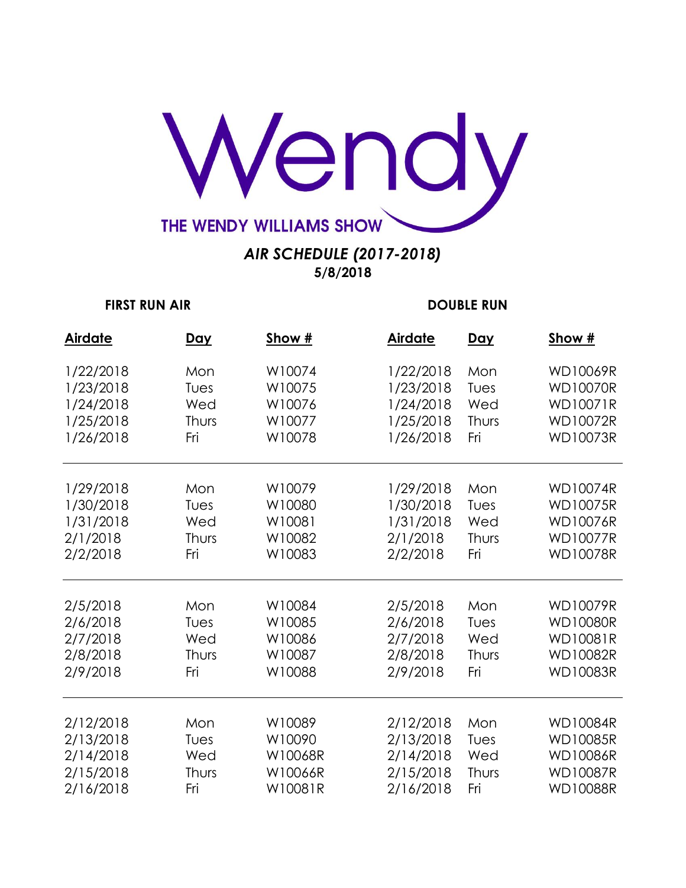

| <b>Airdate</b> | <u>Day</u> | Show #  | <b>Airdate</b> | <u>Day</u> | Show #          |
|----------------|------------|---------|----------------|------------|-----------------|
| 1/22/2018      | Mon        | W10074  | 1/22/2018      | Mon        | <b>WD10069R</b> |
| 1/23/2018      | Tues       | W10075  | 1/23/2018      | Tues       | <b>WD10070R</b> |
| 1/24/2018      | Wed        | W10076  | 1/24/2018      | Wed        | <b>WD10071R</b> |
| 1/25/2018      | Thurs      | W10077  | 1/25/2018      | Thurs      | <b>WD10072R</b> |
| 1/26/2018      | Fri        | W10078  | 1/26/2018      | Fri        | <b>WD10073R</b> |
| 1/29/2018      | Mon        | W10079  | 1/29/2018      | Mon        | <b>WD10074R</b> |
| 1/30/2018      | Tues       | W10080  | 1/30/2018      | Tues       | <b>WD10075R</b> |
| 1/31/2018      | Wed        | W10081  | 1/31/2018      | Wed        | <b>WD10076R</b> |
| 2/1/2018       | Thurs      | W10082  | 2/1/2018       | Thurs      | <b>WD10077R</b> |
| 2/2/2018       | Fri        | W10083  | 2/2/2018       | Fri        | <b>WD10078R</b> |
| 2/5/2018       | Mon        | W10084  | 2/5/2018       | Mon        | <b>WD10079R</b> |
| 2/6/2018       | Tues       | W10085  | 2/6/2018       | Tues       | <b>WD10080R</b> |
| 2/7/2018       | Wed        | W10086  | 2/7/2018       | Wed        | WD10081R        |
| 2/8/2018       | Thurs      | W10087  | 2/8/2018       | Thurs      | <b>WD10082R</b> |
| 2/9/2018       | Fri        | W10088  | 2/9/2018       | Fri        | <b>WD10083R</b> |
| 2/12/2018      | Mon        | W10089  | 2/12/2018      | Mon        | <b>WD10084R</b> |
| 2/13/2018      | Tues       | W10090  | 2/13/2018      | Tues       | <b>WD10085R</b> |
| 2/14/2018      | Wed        | W10068R | 2/14/2018      | Wed        | <b>WD10086R</b> |
| 2/15/2018      | Thurs      | W10066R | 2/15/2018      | Thurs      | <b>WD10087R</b> |
| 2/16/2018      | Fri        | W10081R | 2/16/2018      | Fri        | <b>WD10088R</b> |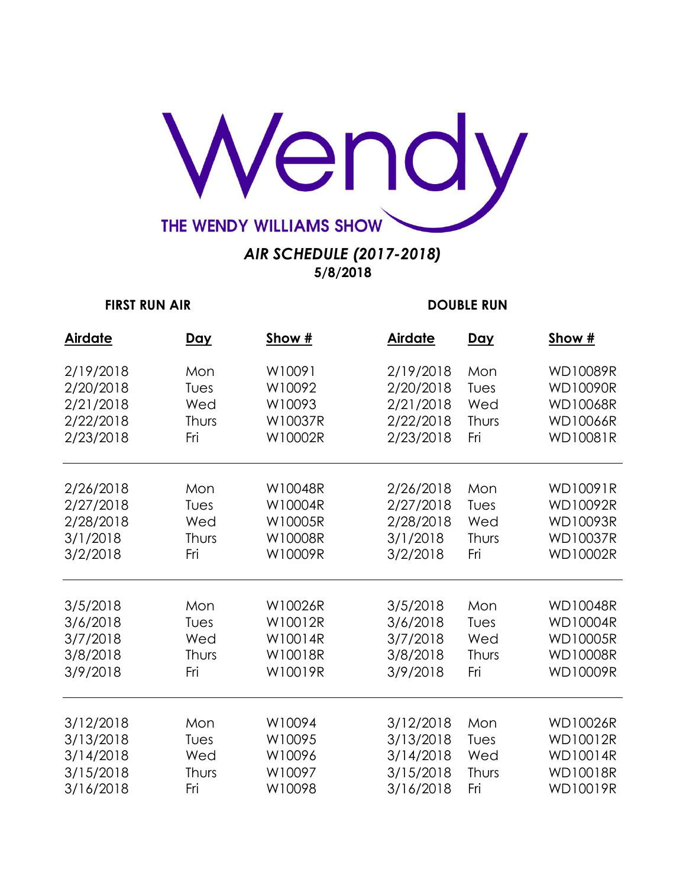

| <b>Airdate</b> | <u>Day</u> | Show #  | <b>Airdate</b> | <u>Day</u> | Show #          |
|----------------|------------|---------|----------------|------------|-----------------|
| 2/19/2018      | Mon        | W10091  | 2/19/2018      | Mon        | <b>WD10089R</b> |
| 2/20/2018      | Tues       | W10092  | 2/20/2018      | Tues       | WD10090R        |
| 2/21/2018      | Wed        | W10093  | 2/21/2018      | Wed        | <b>WD10068R</b> |
| 2/22/2018      | Thurs      | W10037R | 2/22/2018      | Thurs      | <b>WD10066R</b> |
| 2/23/2018      | Fri        | W10002R | 2/23/2018      | Fri        | <b>WD10081R</b> |
| 2/26/2018      | Mon        | W10048R | 2/26/2018      | Mon        | WD10091R        |
| 2/27/2018      | Tues       | W10004R | 2/27/2018      | Tues       | WD10092R        |
| 2/28/2018      | Wed        | W10005R | 2/28/2018      | Wed        | <b>WD10093R</b> |
| 3/1/2018       | Thurs      | W10008R | 3/1/2018       | Thurs      | <b>WD10037R</b> |
| 3/2/2018       | Fri        | W10009R | 3/2/2018       | Fri        | <b>WD10002R</b> |
| 3/5/2018       | Mon        | W10026R | 3/5/2018       | Mon        | <b>WD10048R</b> |
| 3/6/2018       | Tues       | W10012R | 3/6/2018       | Tues       | <b>WD10004R</b> |
| 3/7/2018       | Wed        | W10014R | 3/7/2018       | Wed        | <b>WD10005R</b> |
| 3/8/2018       | Thurs      | W10018R | 3/8/2018       | Thurs      | <b>WD10008R</b> |
| 3/9/2018       | Fri        | W10019R | 3/9/2018       | Fri        | <b>WD10009R</b> |
| 3/12/2018      | Mon        | W10094  | 3/12/2018      | Mon        | <b>WD10026R</b> |
| 3/13/2018      | Tues       | W10095  | 3/13/2018      | Tues       | <b>WD10012R</b> |
| 3/14/2018      | Wed        | W10096  | 3/14/2018      | Wed        | <b>WD10014R</b> |
| 3/15/2018      | Thurs      | W10097  | 3/15/2018      | Thurs      | <b>WD10018R</b> |
| 3/16/2018      | Fri        | W10098  | 3/16/2018      | Fri        | <b>WD10019R</b> |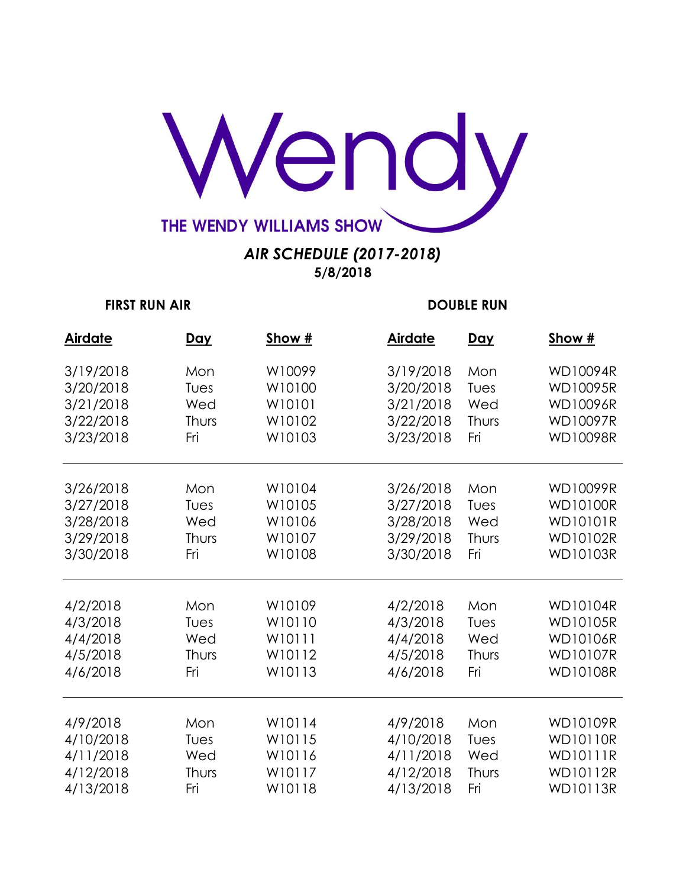

| <b>Airdate</b> | <u>Day</u> | Show # | <b>Airdate</b> | <u>Day</u> | Show #          |
|----------------|------------|--------|----------------|------------|-----------------|
| 3/19/2018      | Mon        | W10099 | 3/19/2018      | Mon        | <b>WD10094R</b> |
| 3/20/2018      | Tues       | W10100 | 3/20/2018      | Tues       | <b>WD10095R</b> |
| 3/21/2018      | Wed        | W10101 | 3/21/2018      | Wed        | <b>WD10096R</b> |
| 3/22/2018      | Thurs      | W10102 | 3/22/2018      | Thurs      | <b>WD10097R</b> |
| 3/23/2018      | Fri        | W10103 | 3/23/2018      | Fri        | <b>WD10098R</b> |
| 3/26/2018      | Mon        | W10104 | 3/26/2018      | Mon        | <b>WD10099R</b> |
| 3/27/2018      | Tues       | W10105 | 3/27/2018      | Tues       | <b>WD10100R</b> |
| 3/28/2018      | Wed        | W10106 | 3/28/2018      | Wed        | <b>WD10101R</b> |
| 3/29/2018      | Thurs      | W10107 | 3/29/2018      | Thurs      | <b>WD10102R</b> |
| 3/30/2018      | Fri        | W10108 | 3/30/2018      | Fri        | <b>WD10103R</b> |
| 4/2/2018       | Mon        | W10109 | 4/2/2018       | Mon        | <b>WD10104R</b> |
| 4/3/2018       | Tues       | W10110 | 4/3/2018       | Tues       | <b>WD10105R</b> |
| 4/4/2018       | Wed        | W10111 | 4/4/2018       | Wed        | <b>WD10106R</b> |
| 4/5/2018       | Thurs      | W10112 | 4/5/2018       | Thurs      | <b>WD10107R</b> |
| 4/6/2018       | Fri        | W10113 | 4/6/2018       | Fri        | <b>WD10108R</b> |
| 4/9/2018       | Mon        | W10114 | 4/9/2018       | Mon        | <b>WD10109R</b> |
| 4/10/2018      | Tues       | W10115 | 4/10/2018      | Tues       | <b>WD10110R</b> |
| 4/11/2018      | Wed        | W10116 | 4/11/2018      | Wed        | <b>WD10111R</b> |
| 4/12/2018      | Thurs      | W10117 | 4/12/2018      | Thurs      | <b>WD10112R</b> |
| 4/13/2018      | Fri        | W10118 | 4/13/2018      | Fri        | <b>WD10113R</b> |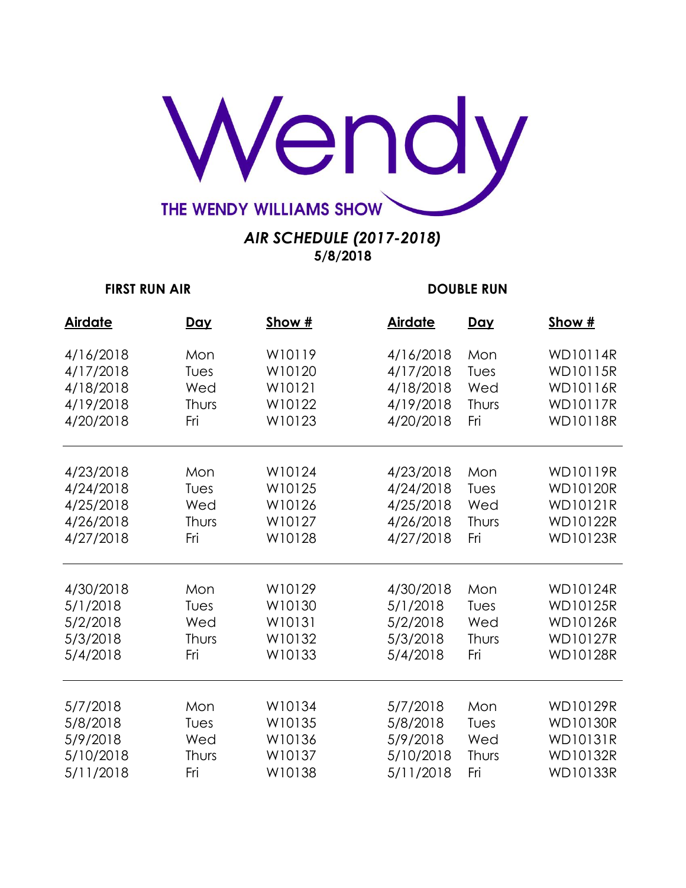

| <b>Airdate</b> | <u>Day</u> | Show # | <b>Airdate</b> | <u>Day</u> | Show #          |
|----------------|------------|--------|----------------|------------|-----------------|
| 4/16/2018      | Mon        | W10119 | 4/16/2018      | Mon        | <b>WD10114R</b> |
| 4/17/2018      | Tues       | W10120 | 4/17/2018      | Tues       | <b>WD10115R</b> |
| 4/18/2018      | Wed        | W10121 | 4/18/2018      | Wed        | <b>WD10116R</b> |
| 4/19/2018      | Thurs      | W10122 | 4/19/2018      | Thurs      | <b>WD10117R</b> |
| 4/20/2018      | Fri        | W10123 | 4/20/2018      | Fri        | <b>WD10118R</b> |
| 4/23/2018      | Mon        | W10124 | 4/23/2018      | Mon        | <b>WD10119R</b> |
| 4/24/2018      | Tues       | W10125 | 4/24/2018      | Tues       | <b>WD10120R</b> |
| 4/25/2018      | Wed        | W10126 | 4/25/2018      | Wed        | <b>WD10121R</b> |
| 4/26/2018      | Thurs      | W10127 | 4/26/2018      | Thurs      | <b>WD10122R</b> |
| 4/27/2018      | Fri        | W10128 | 4/27/2018      | Fri        | <b>WD10123R</b> |
| 4/30/2018      | Mon        | W10129 | 4/30/2018      | Mon        | <b>WD10124R</b> |
| 5/1/2018       | Tues       | W10130 | 5/1/2018       | Tues       | <b>WD10125R</b> |
| 5/2/2018       | Wed        | W10131 | 5/2/2018       | Wed        | <b>WD10126R</b> |
| 5/3/2018       | Thurs      | W10132 | 5/3/2018       | Thurs      | <b>WD10127R</b> |
| 5/4/2018       | Fri        | W10133 | 5/4/2018       | Fri        | <b>WD10128R</b> |
| 5/7/2018       | Mon        | W10134 | 5/7/2018       | Mon        | <b>WD10129R</b> |
| 5/8/2018       | Tues       | W10135 | 5/8/2018       | Tues       | <b>WD10130R</b> |
| 5/9/2018       | Wed        | W10136 | 5/9/2018       | Wed        | <b>WD10131R</b> |
| 5/10/2018      | Thurs      | W10137 | 5/10/2018      | Thurs      | <b>WD10132R</b> |
| 5/11/2018      | Fri        | W10138 | 5/11/2018      | Fri        | <b>WD10133R</b> |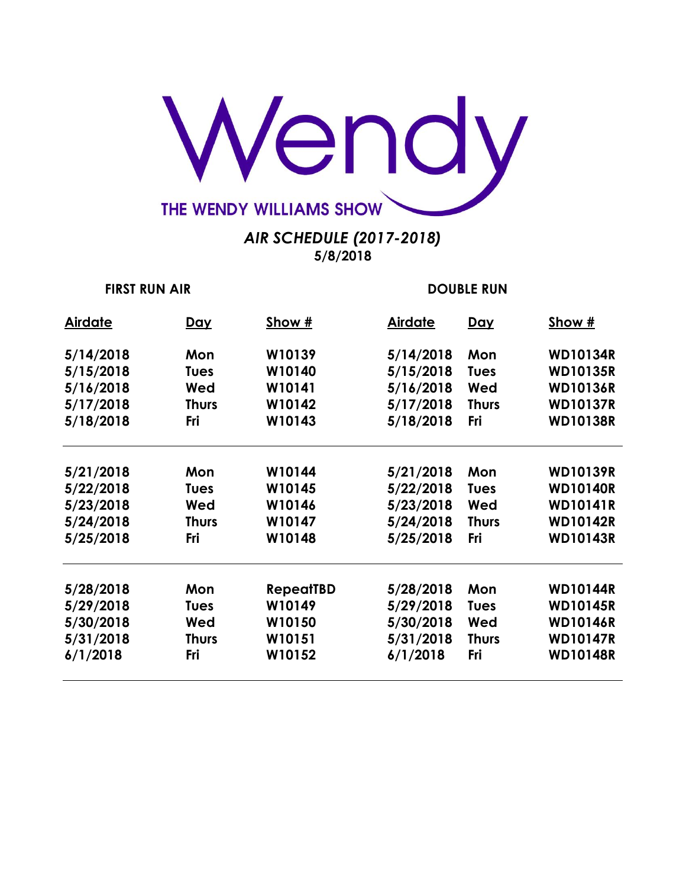

| <b>Airdate</b> | <u>Day</u>   | Show #           | <b>Airdate</b> | <u>Day</u>   | Show #          |
|----------------|--------------|------------------|----------------|--------------|-----------------|
| 5/14/2018      | Mon          | W10139           | 5/14/2018      | Mon          | <b>WD10134R</b> |
| 5/15/2018      | <b>Tues</b>  | W10140           | 5/15/2018      | <b>Tues</b>  | <b>WD10135R</b> |
| 5/16/2018      | Wed          | W10141           | 5/16/2018      | Wed          | <b>WD10136R</b> |
| 5/17/2018      | <b>Thurs</b> | W10142           | 5/17/2018      | <b>Thurs</b> | <b>WD10137R</b> |
| 5/18/2018      | Fri          | W10143           | 5/18/2018      | <b>Fri</b>   | <b>WD10138R</b> |
|                |              |                  |                |              |                 |
| 5/21/2018      | Mon          | W10144           | 5/21/2018      | Mon          | <b>WD10139R</b> |
| 5/22/2018      | <b>Tues</b>  | W10145           | 5/22/2018      | <b>Tues</b>  | <b>WD10140R</b> |
| 5/23/2018      | Wed          | W10146           | 5/23/2018      | Wed          | <b>WD10141R</b> |
| 5/24/2018      | <b>Thurs</b> | W10147           | 5/24/2018      | <b>Thurs</b> | <b>WD10142R</b> |
| 5/25/2018      | Fri          | W10148           | 5/25/2018      | Fri          | <b>WD10143R</b> |
| 5/28/2018      | Mon          | <b>RepeatTBD</b> | 5/28/2018      | Mon          | <b>WD10144R</b> |
| 5/29/2018      | <b>Tues</b>  | W10149           | 5/29/2018      | <b>Tues</b>  | <b>WD10145R</b> |
|                |              |                  |                |              |                 |
| 5/30/2018      | Wed          | W10150           | 5/30/2018      | Wed          | <b>WD10146R</b> |
| 5/31/2018      | <b>Thurs</b> | W10151           | 5/31/2018      | <b>Thurs</b> | <b>WD10147R</b> |
| 6/1/2018       | Fri          | W10152           | 6/1/2018       | Fri          | <b>WD10148R</b> |